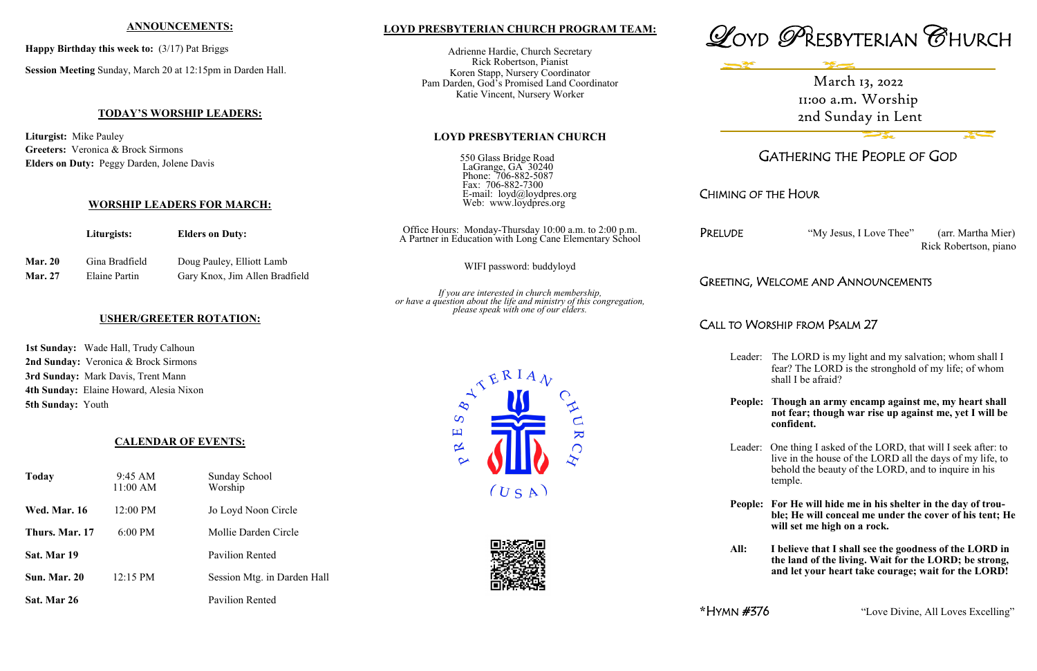### **LOYD PRESBYTERIAN CHURCH PROGRAM TEAM:**

Adrienne Hardie, Church Secretary Rick Robertson, Pianist Koren Stapp, Nursery Coordinator Pam Darden, God's Promised Land Coordinator Katie Vincent, Nursery Worker

### **LOYD PRESBYTERIAN CHURCH**

| 550 Glass Bridge Road     |
|---------------------------|
| LaGrange, GA 30240        |
| Phone: 706-882-5087       |
| Fax: 706-882-7300         |
| E-mail: loyd@loydpres.org |
| Web: www.loydpres.org     |

*If you are interested in church membership, or have a question about the life and ministry of this congregation,*

 $(USA)$ 

 $\overline{\mathbf{K}}$ 

 $\bigcap$ 

# *please speak with one of our elders.*

 $\frac{1}{2}$ 

 $\overline{S}$ 凹

 $\propto$ 





# GATHERING THE PEOPLE OF GOD

# CHIMING OF THE HOUR

JDE "My Jesus, I Love Thee" (arr. Martha Mier)

Rick Robertson, piano

### TING, WELCOME AND ANNOUNCEMENTS

# CALL TO WORSHIP FROM PSALM 27

Leader: The LORD is my light and my salvation; whom shall I fear? The LORD is the stronghold of my life; of whom shall I be afraid?

**People: Though an army encamp against me, my heart shall not fear; though war rise up against me, yet I will be confident.**

|                                  | Liturgists:                     | <b>Elders on Duty:</b>                                      | Office Hours: Monday-Thursday 10:00 a.m. to 2:00 p.m.<br>A Partner in Education with Long Cane Elementary School | PRELL       |
|----------------------------------|---------------------------------|-------------------------------------------------------------|------------------------------------------------------------------------------------------------------------------|-------------|
| <b>Mar. 20</b><br><b>Mar. 27</b> | Gina Bradfield<br>Elaine Partin | Doug Pauley, Elliott Lamb<br>Gary Knox, Jim Allen Bradfield | WIFI password: buddyloyd                                                                                         |             |
|                                  |                                 |                                                             |                                                                                                                  | <b>GREE</b> |

Leader: One thing I asked of the LORD, that will I seek after: to live in the house of the LORD all the days of my life, to behold the beauty of the LORD, and to inquire in his temple.

**People: For He will hide me in his shelter in the day of trou ble; He will conceal me under the cover of his tent; He will set me high on a rock.**

**All: I believe that I shall see the goodness of the LORD in the land of the living. Wait for the LORD; be strong, and let your heart take courage; wait for the LORD!**

**\***HYMN #376 "Love Divine, All Loves Excelling"

#### **ANNOUNCEMENTS:**

**Happy Birthday this week to:** (3/17) Pat Briggs

**Session Meeting** Sunday, March 20 at 12:15pm in Darden Hall.

### **TODAY'S WORSHIP LEADERS:**

**Liturgist:** Mike Pauley **Greeters:** Veronica & Brock Sirmons **Elders on Duty:** Peggy Darden, Jolene Davis

### **WORSHIP LEADERS FOR MARCH:**

### **USHER/GREETER ROTATION:**

**1st Sunday:** Wade Hall, Trudy Calhoun **2nd Sunday:** Veronica & Brock Sirmons **3rd Sunday:** Mark Davis, Trent Mann **4th Sunday:** Elaine Howard, Alesia Nixon **5th Sunday:** Youth

### **CALENDAR OF EVENTS:**

| Today               | $9:45 \text{ AM}$<br>11:00 AM | <b>Sunday School</b><br>Worship |  |
|---------------------|-------------------------------|---------------------------------|--|
| <b>Wed. Mar. 16</b> | 12:00 PM                      | Jo Loyd Noon Circle             |  |
| Thurs. Mar. 17      | $6:00$ PM                     | Mollie Darden Circle            |  |
| Sat. Mar 19         |                               | Pavilion Rented                 |  |
| Sun. Mar. 20        | $12:15 \text{ PM}$            | Session Mtg. in Darden Hall     |  |
| Sat. Mar 26         |                               | Pavilion Rented                 |  |

March 13, 2022 11:00 a.m. Worship 2nd Sunday in Lent